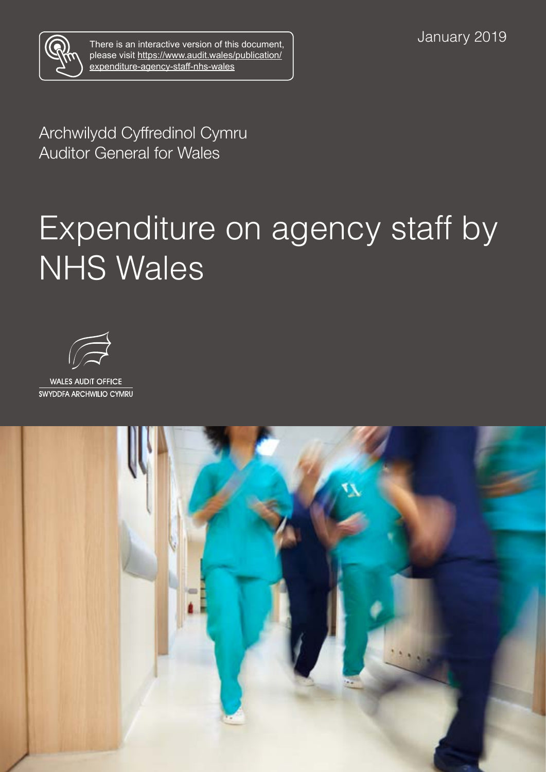

There is an interactive version of this document, please visit [https://www.audit.wales/publication/](https://www.audit.wales/publication/expenditure-agency-staff-nhs-wales) [expenditure-agency-staff-nhs-wales](https://www.audit.wales/publication/expenditure-agency-staff-nhs-wales)

Archwilydd Cyffredinol Cymru Auditor General for Wales

# Expenditure on agency staff by NHS Wales



**WALES AUDIT OFFICE** SWYDDFA ARCHWILIO CYMRU

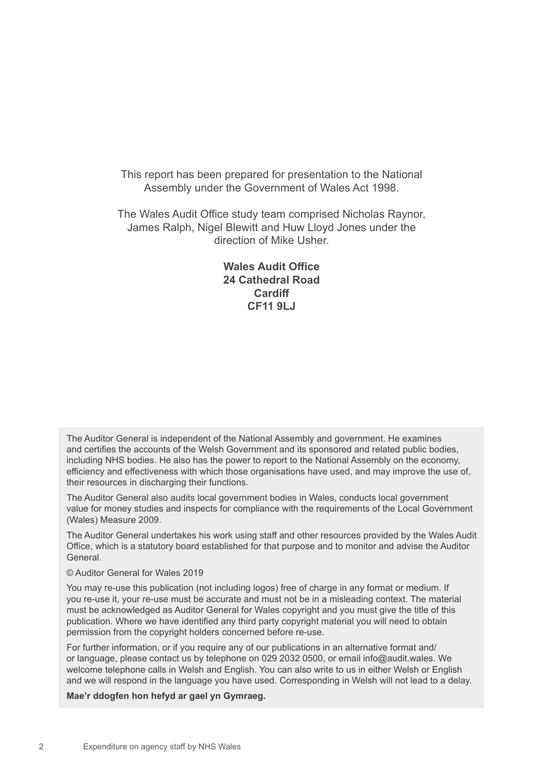This report has been prepared for presentation to the National Assembly under the Government of Wales Act 1998.

The Wales Audit Office study team comprised Nicholas Raynor, James Ralph, Nigel Blewitt and Huw Lloyd Jones under the direction of Mike Usher.

#### **Wales Audit Office 24 Cathedral Road Cardiff CF11 9LJ**

The Auditor General is independent of the National Assembly and government. He examines and certifies the accounts of the Welsh Government and its sponsored and related public bodies, including NHS bodies. He also has the power to report to the National Assembly on the economy, efficiency and effectiveness with which those organisations have used, and may improve the use of, their resources in discharging their functions.

The Auditor General also audits local government bodies in Wales, conducts local government value for money studies and inspects for compliance with the requirements of the Local Government (Wales) Measure 2009.

The Auditor General undertakes his work using staff and other resources provided by the Wales Audit Office, which is a statutory board established for that purpose and to monitor and advise the Auditor General.

#### © Auditor General for Wales 2019

You may re-use this publication (not including logos) free of charge in any format or medium. If you re-use it, your re-use must be accurate and must not be in a misleading context. The material must be acknowledged as Auditor General for Wales copyright and you must give the title of this publication. Where we have identified any third party copyright material you will need to obtain permission from the copyright holders concerned before re-use.

For further information, or if you require any of our publications in an alternative format and/ or language, please contact us by telephone on 029 2032 0500, or email info@audit.wales. We welcome telephone calls in Welsh and English. You can also write to us in either Welsh or English and we will respond in the language you have used. Corresponding in Welsh will not lead to a delay.

**Mae'r ddogfen hon hefyd ar gael yn Gymraeg.**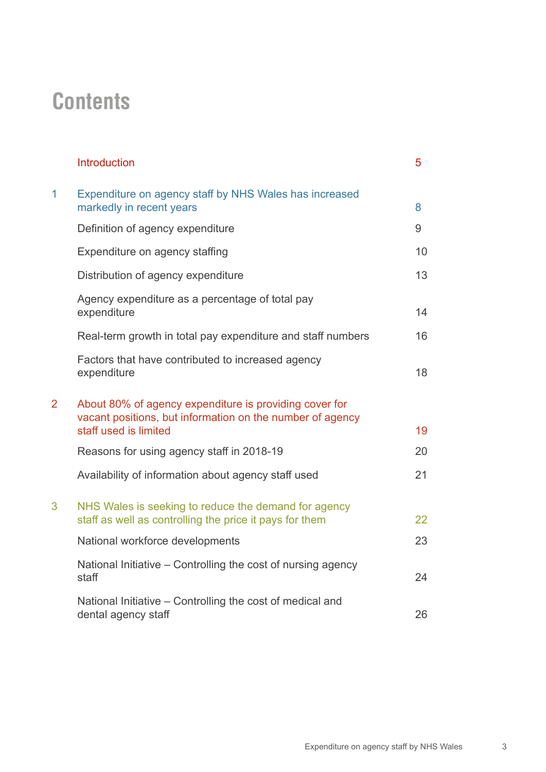### **Contents**

|                | <b>Introduction</b>                                                                                                                          | 5  |
|----------------|----------------------------------------------------------------------------------------------------------------------------------------------|----|
| 1              | Expenditure on agency staff by NHS Wales has increased<br>markedly in recent years                                                           | 8  |
|                | Definition of agency expenditure                                                                                                             | 9  |
|                | Expenditure on agency staffing                                                                                                               | 10 |
|                | Distribution of agency expenditure                                                                                                           | 13 |
|                | Agency expenditure as a percentage of total pay<br>expenditure                                                                               | 14 |
|                | Real-term growth in total pay expenditure and staff numbers                                                                                  | 16 |
|                | Factors that have contributed to increased agency<br>expenditure                                                                             | 18 |
| $\overline{2}$ | About 80% of agency expenditure is providing cover for<br>vacant positions, but information on the number of agency<br>staff used is limited | 19 |
|                | Reasons for using agency staff in 2018-19                                                                                                    | 20 |
|                | Availability of information about agency staff used                                                                                          | 21 |
| 3              | NHS Wales is seeking to reduce the demand for agency<br>staff as well as controlling the price it pays for them                              | 22 |
|                | National workforce developments                                                                                                              | 23 |
|                | National Initiative – Controlling the cost of nursing agency<br>staff                                                                        | 24 |
|                | National Initiative - Controlling the cost of medical and<br>dental agency staff                                                             | 26 |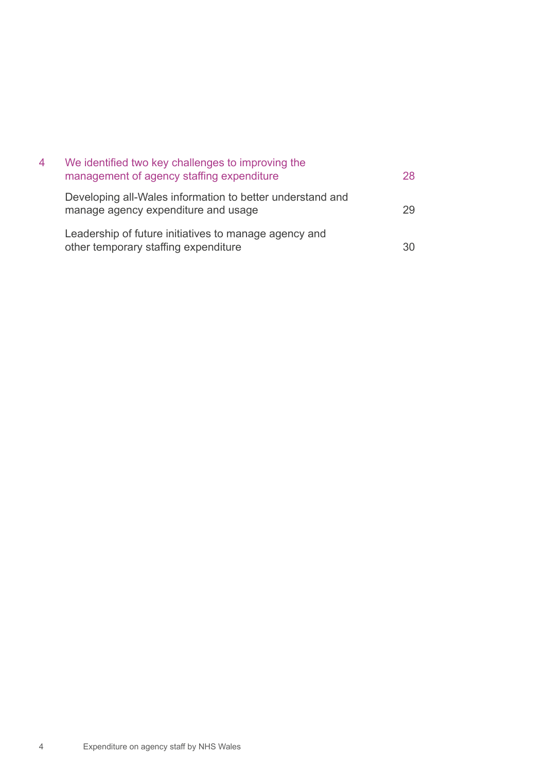| 4 | We identified two key challenges to improving the<br>management of agency staffing expenditure   | 28. |
|---|--------------------------------------------------------------------------------------------------|-----|
|   | Developing all-Wales information to better understand and<br>manage agency expenditure and usage | 29  |
|   | Leadership of future initiatives to manage agency and<br>other temporary staffing expenditure    |     |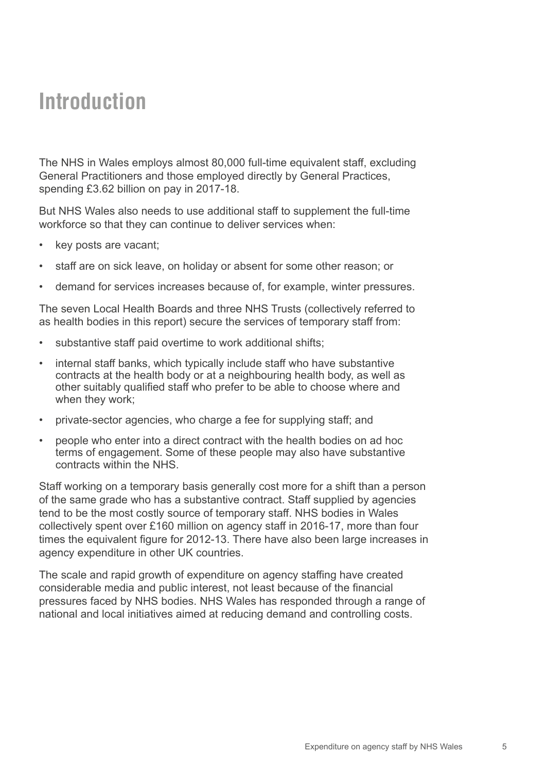#### <span id="page-4-0"></span>**Introduction**

The NHS in Wales employs almost 80,000 full-time equivalent staff, excluding General Practitioners and those employed directly by General Practices, spending £3.62 billion on pay in 2017-18.

But NHS Wales also needs to use additional staff to supplement the full-time workforce so that they can continue to deliver services when:

- key posts are vacant;
- staff are on sick leave, on holiday or absent for some other reason; or
- demand for services increases because of, for example, winter pressures.

The seven Local Health Boards and three NHS Trusts (collectively referred to as health bodies in this report) secure the services of temporary staff from:

- substantive staff paid overtime to work additional shifts;
- internal staff banks, which typically include staff who have substantive contracts at the health body or at a neighbouring health body, as well as other suitably qualified staff who prefer to be able to choose where and when they work;
- private-sector agencies, who charge a fee for supplying staff: and
- people who enter into a direct contract with the health bodies on ad hoc terms of engagement. Some of these people may also have substantive contracts within the NHS.

Staff working on a temporary basis generally cost more for a shift than a person of the same grade who has a substantive contract. Staff supplied by agencies tend to be the most costly source of temporary staff. NHS bodies in Wales collectively spent over £160 million on agency staff in 2016-17, more than four times the equivalent figure for 2012-13. There have also been large increases in agency expenditure in other UK countries.

The scale and rapid growth of expenditure on agency staffing have created considerable media and public interest, not least because of the financial pressures faced by NHS bodies. NHS Wales has responded through a range of national and local initiatives aimed at reducing demand and controlling costs.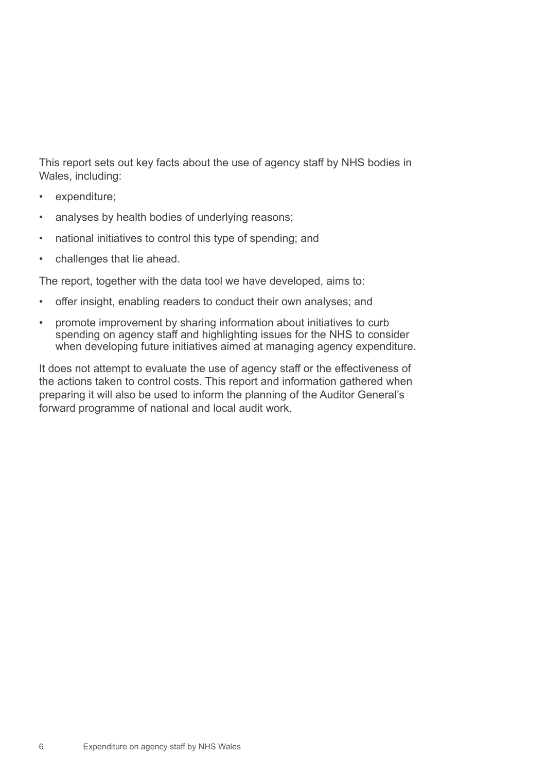This report sets out key facts about the use of agency staff by NHS bodies in Wales, including:

- expenditure;
- analyses by health bodies of underlying reasons;
- national initiatives to control this type of spending; and
- challenges that lie ahead.

The report, together with the data tool we have developed, aims to:

- offer insight, enabling readers to conduct their own analyses; and
- promote improvement by sharing information about initiatives to curb spending on agency staff and highlighting issues for the NHS to consider when developing future initiatives aimed at managing agency expenditure.

It does not attempt to evaluate the use of agency staff or the effectiveness of the actions taken to control costs. This report and information gathered when preparing it will also be used to inform the planning of the Auditor General's forward programme of national and local audit work.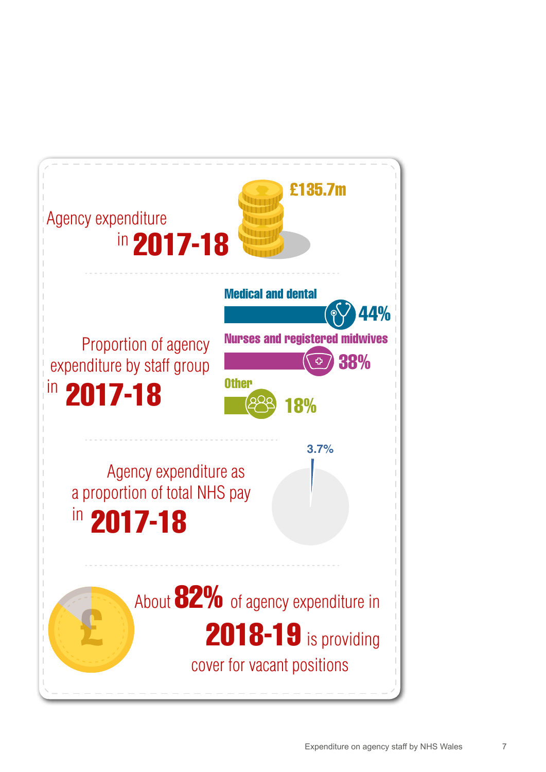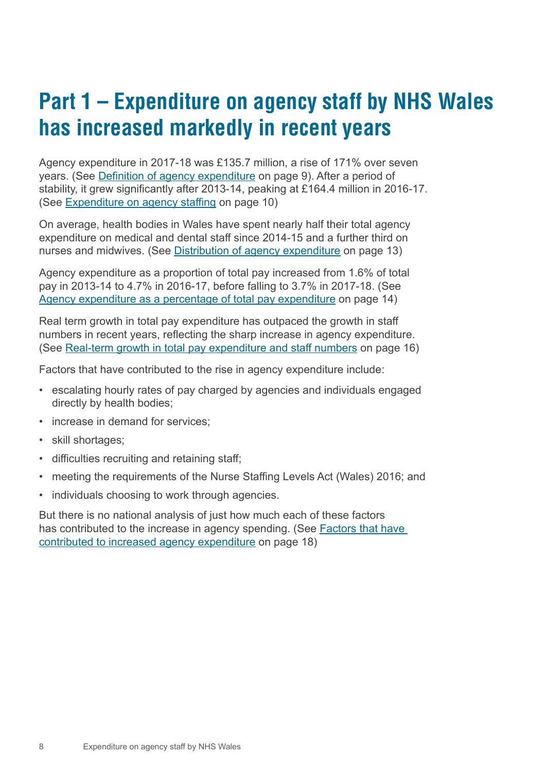### <span id="page-7-0"></span>**Part 1 – Expenditure on agency staff by NHS Wales has increased markedly in recent years**

Agency expenditure in 2017-18 was £135.7 million, a rise of 171% over seven years. (See [Definition of agency expenditure](#page-8-0) on page 9). After a period of stability, it grew significantly after 2013-14, peaking at £164.4 million in 2016-17. (See [Expenditure on agency staffing](#page-9-0) on page 10)

On average, health bodies in Wales have spent nearly half their total agency expenditure on medical and dental staff since 2014-15 and a further third on nurses and midwives. (See [Distribution of agency expenditure](#page-12-0) on page 13)

Agency expenditure as a proportion of total pay increased from 1.6% of total pay in 2013-14 to 4.7% in 2016-17, before falling to 3.7% in 2017-18. (See [Agency expenditure as a percentage of total pay expenditure](#page-13-0) on page 14)

Real term growth in total pay expenditure has outpaced the growth in staff numbers in recent years, reflecting the sharp increase in agency expenditure. (See [Real-term growth in total pay expenditure and staff numbers](#page-15-0) on page 16)

Factors that have contributed to the rise in agency expenditure include:

- escalating hourly rates of pay charged by agencies and individuals engaged directly by health bodies;
- increase in demand for services;
- skill shortages;
- difficulties recruiting and retaining staff;
- meeting the requirements of the Nurse Staffing Levels Act (Wales) 2016; and
- individuals choosing to work through agencies.

But there is no national analysis of just how much each of these factors has contributed to the increase in agency spending. (See Factors that have [contributed to increased agency expenditure](#page-17-0) on page 18)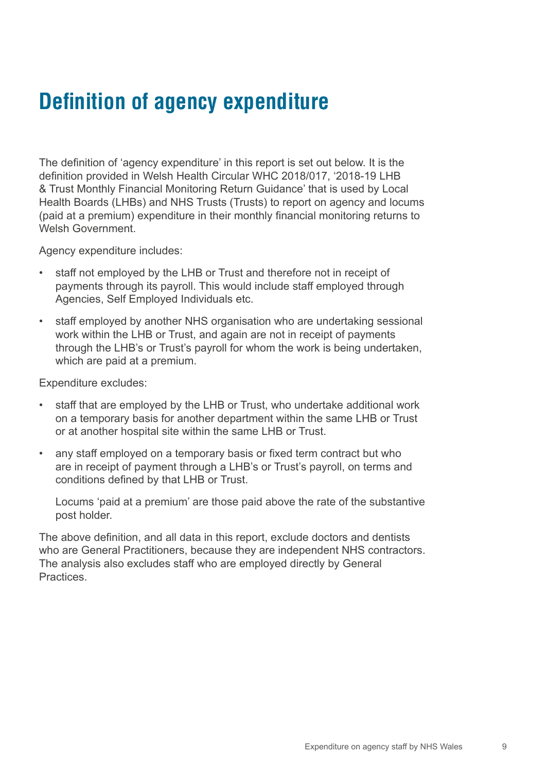### <span id="page-8-0"></span>**Definition of agency expenditure**

The definition of 'agency expenditure' in this report is set out below. It is the definition provided in Welsh Health Circular WHC 2018/017, '2018-19 LHB & Trust Monthly Financial Monitoring Return Guidance' that is used by Local Health Boards (LHBs) and NHS Trusts (Trusts) to report on agency and locums (paid at a premium) expenditure in their monthly financial monitoring returns to Welsh Government

Agency expenditure includes:

- staff not employed by the LHB or Trust and therefore not in receipt of payments through its payroll. This would include staff employed through Agencies, Self Employed Individuals etc.
- staff employed by another NHS organisation who are undertaking sessional work within the LHB or Trust, and again are not in receipt of payments through the LHB's or Trust's payroll for whom the work is being undertaken, which are paid at a premium.

Expenditure excludes:

- staff that are employed by the LHB or Trust, who undertake additional work on a temporary basis for another department within the same LHB or Trust or at another hospital site within the same LHB or Trust.
- any staff employed on a temporary basis or fixed term contract but who are in receipt of payment through a LHB's or Trust's payroll, on terms and conditions defined by that LHB or Trust.

Locums 'paid at a premium' are those paid above the rate of the substantive post holder.

The above definition, and all data in this report, exclude doctors and dentists who are General Practitioners, because they are independent NHS contractors. The analysis also excludes staff who are employed directly by General Practices.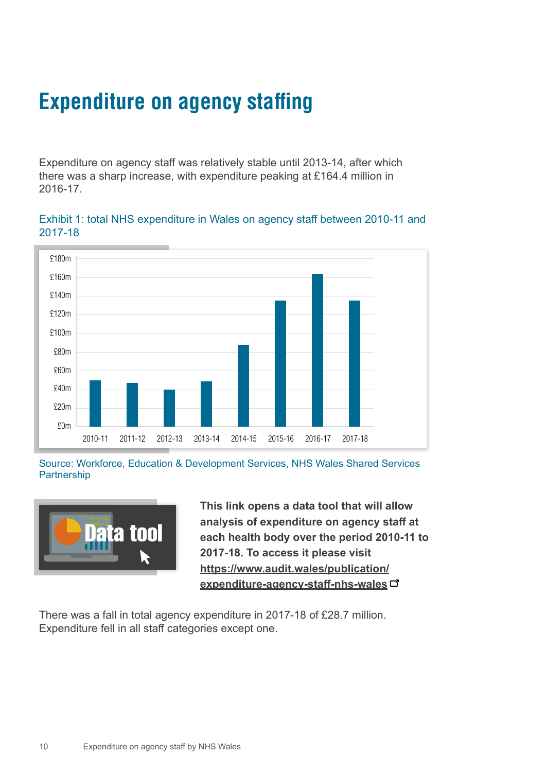### <span id="page-9-0"></span>**Expenditure on agency staffing**

Expenditure on agency staff was relatively stable until 2013-14, after which there was a sharp increase, with expenditure peaking at £164.4 million in 2016-17.

Exhibit 1: total NHS expenditure in Wales on agency staff between 2010-11 and 2017-18



Source: Workforce, Education & Development Services, NHS Wales Shared Services Partnership



**This link opens a data tool that will allow analysis of expenditure on agency staff at each health body over the period 2010-11 to 2017-18. To access it please visit [https://www.audit.wales/publication/](https://www.audit.wales/publication/expenditure-agency-staff-nhs-wales) [expenditure-agency-staff-nhs-wales](https://www.audit.wales/publication/expenditure-agency-staff-nhs-wales)**

There was a fall in total agency expenditure in 2017-18 of £28.7 million. Expenditure fell in all staff categories except one.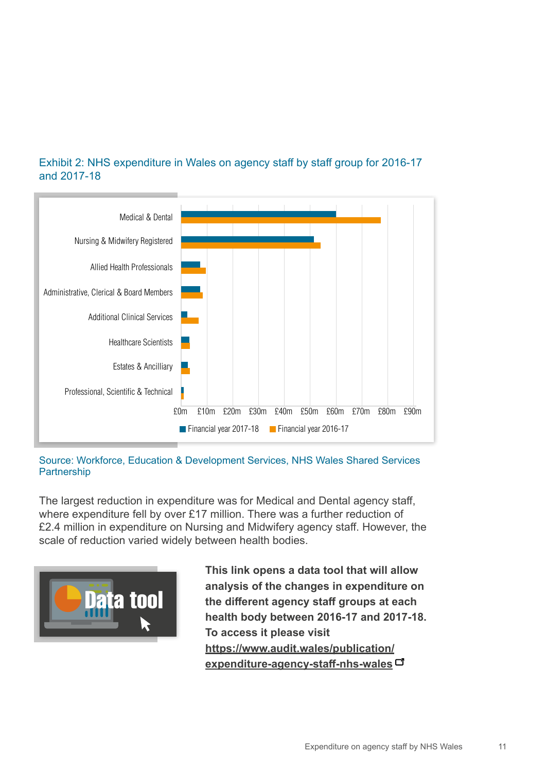

#### Exhibit 2: NHS expenditure in Wales on agency staff by staff group for 2016-17 and 2017-18

Source: Workforce, Education & Development Services, NHS Wales Shared Services Partnership

The largest reduction in expenditure was for Medical and Dental agency staff, where expenditure fell by over £17 million. There was a further reduction of £2.4 million in expenditure on Nursing and Midwifery agency staff. However, the scale of reduction varied widely between health bodies.



**This link opens a data tool that will allow analysis of the changes in expenditure on the different agency staff groups at each health body between 2016-17 and 2017-18. To access it please visit [https://www.audit.wales/publication/](https://www.audit.wales/publication/expenditure-agency-staff-nhs-wales) [expenditure-agency-staff-nhs-wales](https://www.audit.wales/publication/expenditure-agency-staff-nhs-wales)**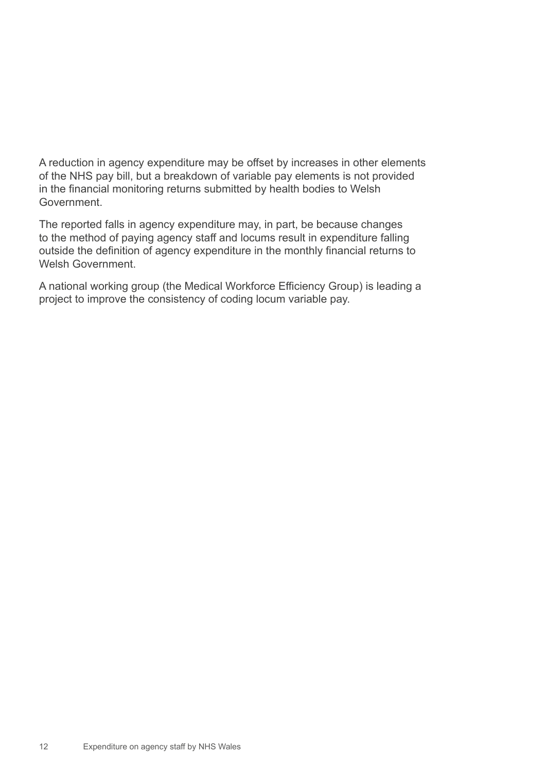A reduction in agency expenditure may be offset by increases in other elements of the NHS pay bill, but a breakdown of variable pay elements is not provided in the financial monitoring returns submitted by health bodies to Welsh Government.

The reported falls in agency expenditure may, in part, be because changes to the method of paying agency staff and locums result in expenditure falling outside the definition of agency expenditure in the monthly financial returns to Welsh Government.

A national working group (the Medical Workforce Efficiency Group) is leading a project to improve the consistency of coding locum variable pay.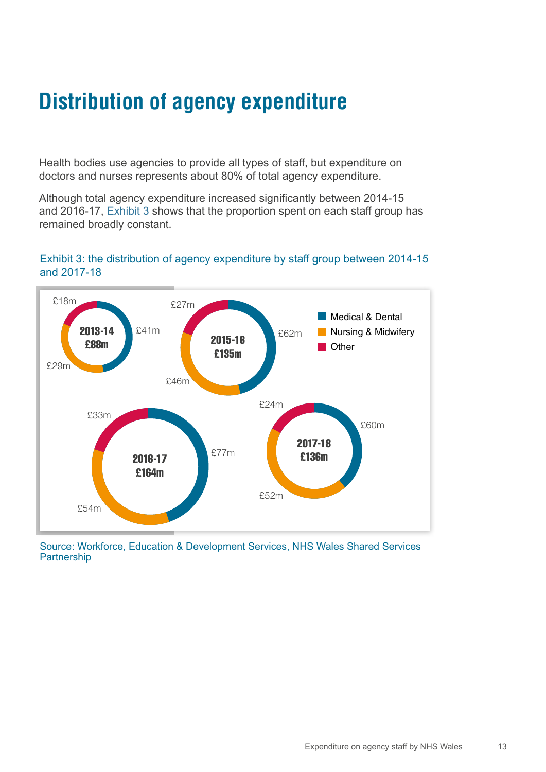### <span id="page-12-0"></span>**Distribution of agency expenditure**

Health bodies use agencies to provide all types of staff, but expenditure on doctors and nurses represents about 80% of total agency expenditure.

Although total agency expenditure increased significantly between 2014-15 and 2016-17, Exhibit 3 shows that the proportion spent on each staff group has remained broadly constant.

#### Exhibit 3: the distribution of agency expenditure by staff group between 2014-15 and 2017-18



Source: Workforce, Education & Development Services, NHS Wales Shared Services Partnership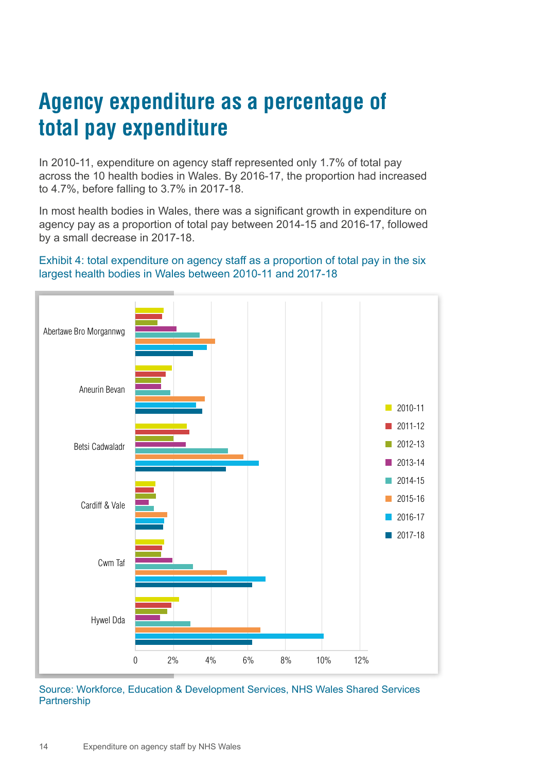### <span id="page-13-0"></span>**Agency expenditure as a percentage of total pay expenditure**

In 2010-11, expenditure on agency staff represented only 1.7% of total pay across the 10 health bodies in Wales. By 2016-17, the proportion had increased to 4.7%, before falling to 3.7% in 2017-18.

In most health bodies in Wales, there was a significant growth in expenditure on agency pay as a proportion of total pay between 2014-15 and 2016-17, followed by a small decrease in 2017-18.

#### Exhibit 4: total expenditure on agency staff as a proportion of total pay in the six largest health bodies in Wales between 2010-11 and 2017-18



Source: Workforce, Education & Development Services, NHS Wales Shared Services **Partnership**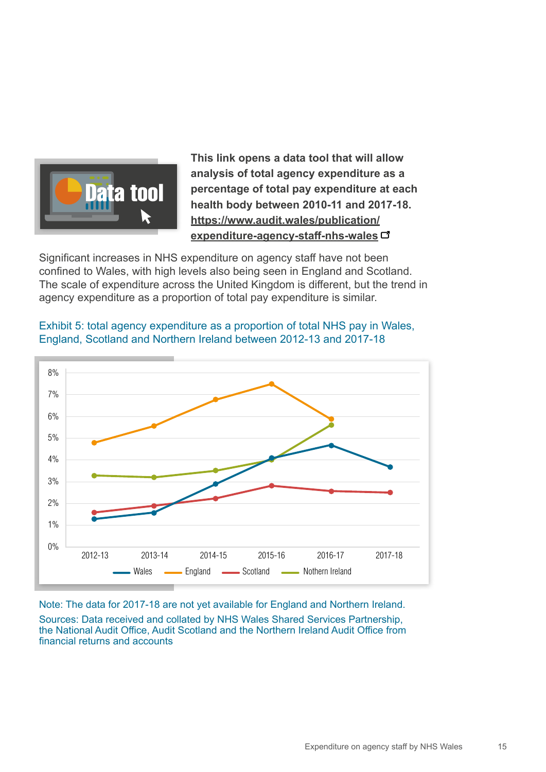

**This link opens a data tool that will allow analysis of total agency expenditure as a percentage of total pay expenditure at each health body between 2010-11 and 2017-18. [https://www.audit.wales/publication/](https://www.audit.wales/publication/expenditure-agency-staff-nhs-wales) [expenditure-agency-staff-nhs-wales](https://www.audit.wales/publication/expenditure-agency-staff-nhs-wales)**

Significant increases in NHS expenditure on agency staff have not been confined to Wales, with high levels also being seen in England and Scotland. The scale of expenditure across the United Kingdom is different, but the trend in agency expenditure as a proportion of total pay expenditure is similar.



Exhibit 5: total agency expenditure as a proportion of total NHS pay in Wales, England, Scotland and Northern Ireland between 2012-13 and 2017-18

Note: The data for 2017-18 are not yet available for England and Northern Ireland.

Sources: Data received and collated by NHS Wales Shared Services Partnership, the National Audit Office, Audit Scotland and the Northern Ireland Audit Office from financial returns and accounts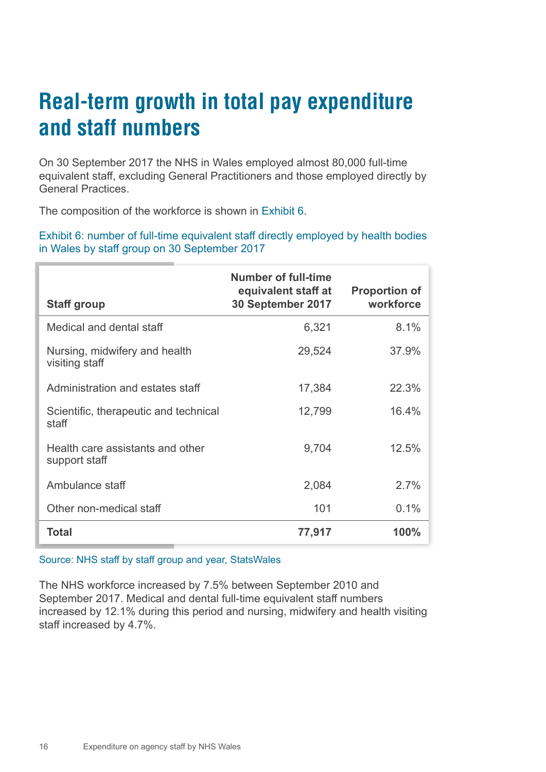### <span id="page-15-0"></span>**Real-term growth in total pay expenditure and staff numbers**

On 30 September 2017 the NHS in Wales employed almost 80,000 full-time equivalent staff, excluding General Practitioners and those employed directly by General Practices.

The composition of the workforce is shown in Exhibit 6.

Exhibit 6: number of full-time equivalent staff directly employed by health bodies in Wales by staff group on 30 September 2017

| <b>Staff group</b>                                | <b>Number of full-time</b><br>equivalent staff at<br>30 September 2017 | <b>Proportion of</b><br>workforce |
|---------------------------------------------------|------------------------------------------------------------------------|-----------------------------------|
| Medical and dental staff                          | 6,321                                                                  | 8.1%                              |
| Nursing, midwifery and health<br>visiting staff   | 29,524                                                                 | 37.9%                             |
| Administration and estates staff                  | 17,384                                                                 | 22.3%                             |
| Scientific, therapeutic and technical<br>staff    | 12,799                                                                 | 16.4%                             |
| Health care assistants and other<br>support staff | 9,704                                                                  | 12.5%                             |
| Ambulance staff                                   | 2,084                                                                  | 2.7%                              |
| Other non-medical staff                           | 101                                                                    | 0.1%                              |
| <b>Total</b>                                      | 77,917                                                                 | 100%                              |

#### Source: NHS staff by staff group and year, StatsWales

The NHS workforce increased by 7.5% between September 2010 and September 2017. Medical and dental full-time equivalent staff numbers increased by 12.1% during this period and nursing, midwifery and health visiting staff increased by 4.7%.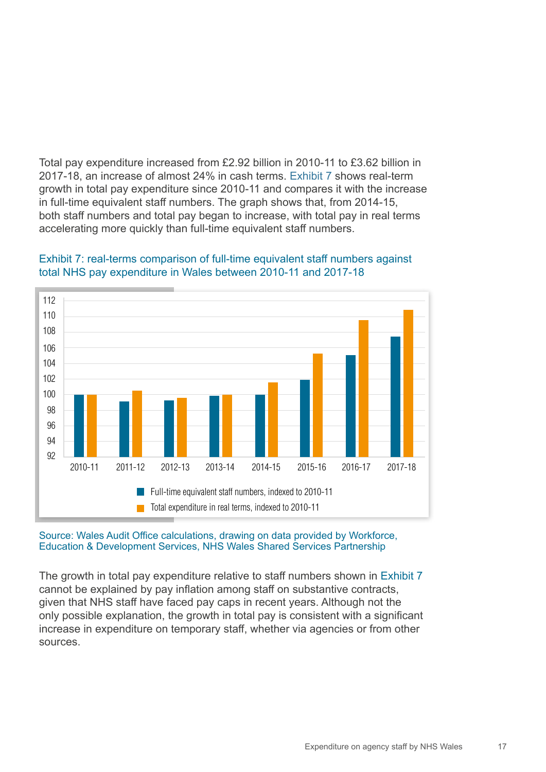Total pay expenditure increased from £2.92 billion in 2010-11 to £3.62 billion in 2017-18, an increase of almost 24% in cash terms. Exhibit 7 shows real-term growth in total pay expenditure since 2010-11 and compares it with the increase in full-time equivalent staff numbers. The graph shows that, from 2014-15, both staff numbers and total pay began to increase, with total pay in real terms accelerating more quickly than full-time equivalent staff numbers.



#### Exhibit 7: real-terms comparison of full-time equivalent staff numbers against total NHS pay expenditure in Wales between 2010-11 and 2017-18

#### Source: Wales Audit Office calculations, drawing on data provided by Workforce, Education & Development Services, NHS Wales Shared Services Partnership

The growth in total pay expenditure relative to staff numbers shown in Exhibit 7 cannot be explained by pay inflation among staff on substantive contracts, given that NHS staff have faced pay caps in recent years. Although not the only possible explanation, the growth in total pay is consistent with a significant increase in expenditure on temporary staff, whether via agencies or from other sources.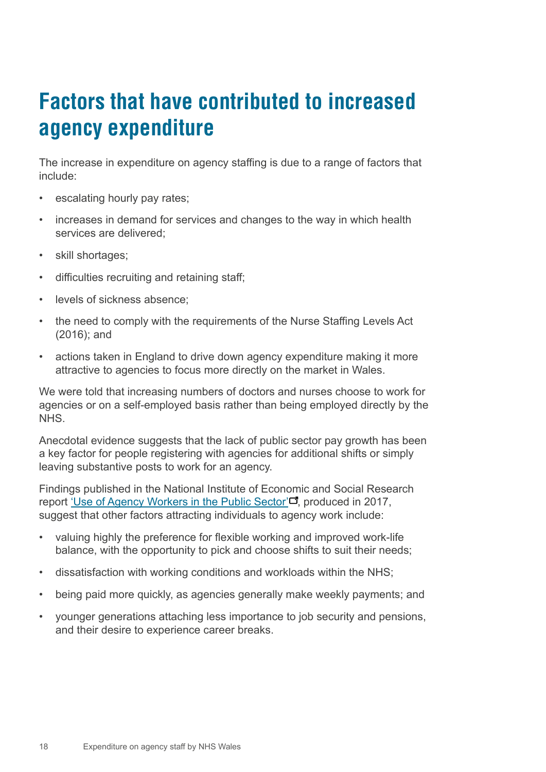### <span id="page-17-0"></span>**Factors that have contributed to increased agency expenditure**

The increase in expenditure on agency staffing is due to a range of factors that include:

- escalating hourly pay rates;
- increases in demand for services and changes to the way in which health services are delivered;
- skill shortages;
- difficulties recruiting and retaining staff;
- levels of sickness absence;
- the need to comply with the requirements of the Nurse Staffing Levels Act (2016); and
- actions taken in England to drive down agency expenditure making it more attractive to agencies to focus more directly on the market in Wales.

We were told that increasing numbers of doctors and nurses choose to work for agencies or on a self-employed basis rather than being employed directly by the NHS.

Anecdotal evidence suggests that the lack of public sector pay growth has been a key factor for people registering with agencies for additional shifts or simply leaving substantive posts to work for an agency.

Findings published in the National Institute of Economic and Social Research report ['Use of Agency Workers in the Public Sector'](https://www.niesr.ac.uk/publications/use-agency-workers-public-sector)<sup>"</sup>, produced in 2017, suggest that other factors attracting individuals to agency work include:

- valuing highly the preference for flexible working and improved work-life balance, with the opportunity to pick and choose shifts to suit their needs;
- dissatisfaction with working conditions and workloads within the NHS;
- being paid more quickly, as agencies generally make weekly payments; and
- younger generations attaching less importance to job security and pensions, and their desire to experience career breaks.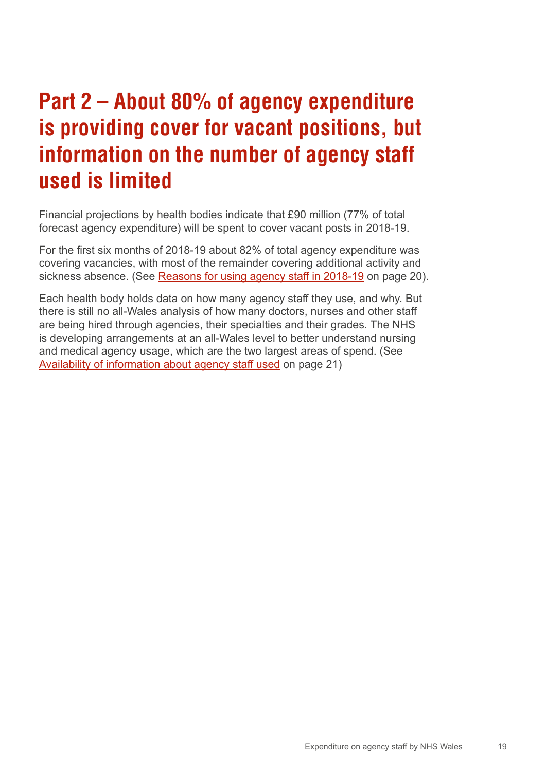### <span id="page-18-0"></span>**Part 2 – About 80% of agency expenditure is providing cover for vacant positions, but information on the number of agency staff used is limited**

Financial projections by health bodies indicate that £90 million (77% of total forecast agency expenditure) will be spent to cover vacant posts in 2018-19.

For the first six months of 2018-19 about 82% of total agency expenditure was covering vacancies, with most of the remainder covering additional activity and sickness absence. (See [Reasons for using agency staff in 2018-19](#page-19-0) on page 20).

Each health body holds data on how many agency staff they use, and why. But there is still no all-Wales analysis of how many doctors, nurses and other staff are being hired through agencies, their specialties and their grades. The NHS is developing arrangements at an all-Wales level to better understand nursing and medical agency usage, which are the two largest areas of spend. (See [Availability of information about agency staff used](#page-20-0) on page 21)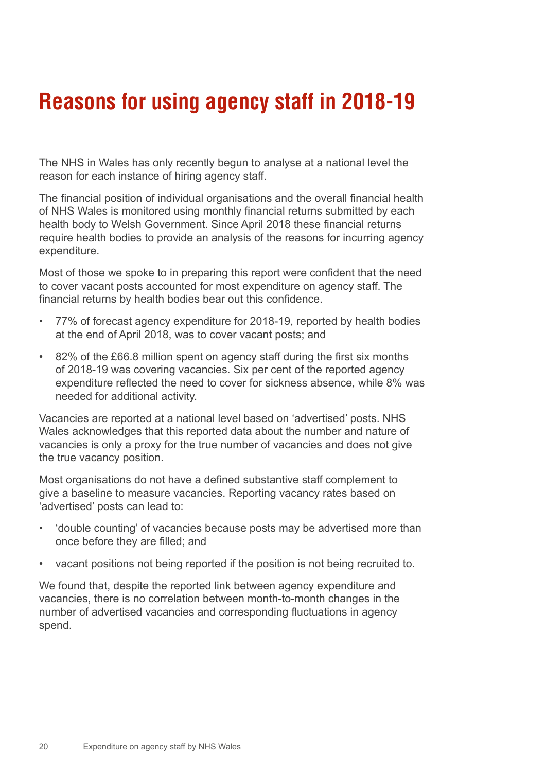#### <span id="page-19-0"></span>**Reasons for using agency staff in 2018-19**

The NHS in Wales has only recently begun to analyse at a national level the reason for each instance of hiring agency staff.

The financial position of individual organisations and the overall financial health of NHS Wales is monitored using monthly financial returns submitted by each health body to Welsh Government. Since April 2018 these financial returns require health bodies to provide an analysis of the reasons for incurring agency expenditure.

Most of those we spoke to in preparing this report were confident that the need to cover vacant posts accounted for most expenditure on agency staff. The financial returns by health bodies bear out this confidence.

- 77% of forecast agency expenditure for 2018-19, reported by health bodies at the end of April 2018, was to cover vacant posts; and
- 82% of the £66.8 million spent on agency staff during the first six months of 2018-19 was covering vacancies. Six per cent of the reported agency expenditure reflected the need to cover for sickness absence, while 8% was needed for additional activity.

Vacancies are reported at a national level based on 'advertised' posts. NHS Wales acknowledges that this reported data about the number and nature of vacancies is only a proxy for the true number of vacancies and does not give the true vacancy position.

Most organisations do not have a defined substantive staff complement to give a baseline to measure vacancies. Reporting vacancy rates based on 'advertised' posts can lead to:

- 'double counting' of vacancies because posts may be advertised more than once before they are filled; and
- vacant positions not being reported if the position is not being recruited to.

We found that, despite the reported link between agency expenditure and vacancies, there is no correlation between month-to-month changes in the number of advertised vacancies and corresponding fluctuations in agency spend.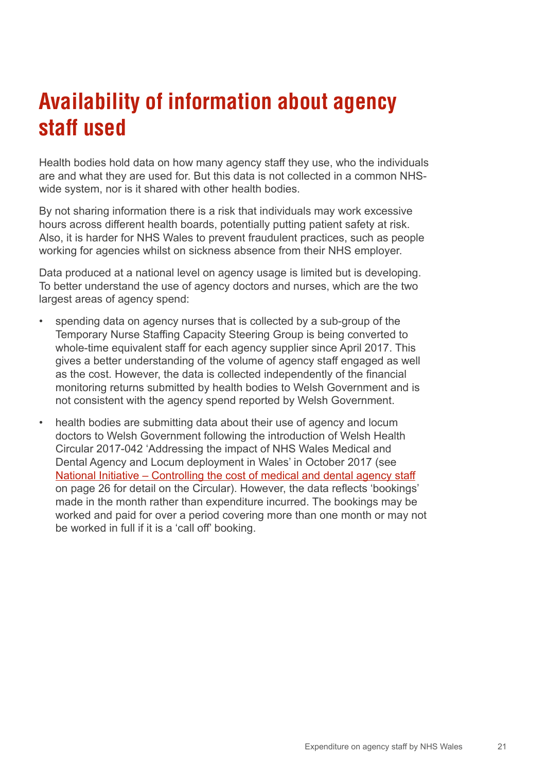### <span id="page-20-0"></span>**Availability of information about agency staff used**

Health bodies hold data on how many agency staff they use, who the individuals are and what they are used for. But this data is not collected in a common NHSwide system, nor is it shared with other health bodies.

By not sharing information there is a risk that individuals may work excessive hours across different health boards, potentially putting patient safety at risk. Also, it is harder for NHS Wales to prevent fraudulent practices, such as people working for agencies whilst on sickness absence from their NHS employer.

Data produced at a national level on agency usage is limited but is developing. To better understand the use of agency doctors and nurses, which are the two largest areas of agency spend:

- spending data on agency nurses that is collected by a sub-group of the Temporary Nurse Staffing Capacity Steering Group is being converted to whole-time equivalent staff for each agency supplier since April 2017. This gives a better understanding of the volume of agency staff engaged as well as the cost. However, the data is collected independently of the financial monitoring returns submitted by health bodies to Welsh Government and is not consistent with the agency spend reported by Welsh Government.
- health bodies are submitting data about their use of agency and locum doctors to Welsh Government following the introduction of Welsh Health Circular 2017-042 'Addressing the impact of NHS Wales Medical and Dental Agency and Locum deployment in Wales' in October 2017 (see [National Initiative – Controlling the cost of medical and dental agency staff](#page-25-0) on page 26 for detail on the Circular). However, the data reflects 'bookings' made in the month rather than expenditure incurred. The bookings may be worked and paid for over a period covering more than one month or may not be worked in full if it is a 'call off' booking.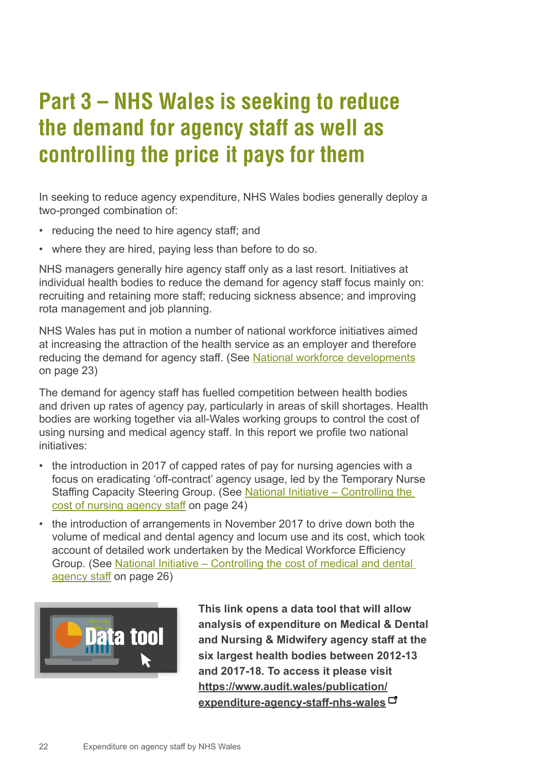### <span id="page-21-0"></span>**Part 3 – NHS Wales is seeking to reduce the demand for agency staff as well as controlling the price it pays for them**

In seeking to reduce agency expenditure, NHS Wales bodies generally deploy a two-pronged combination of:

- reducing the need to hire agency staff; and
- where they are hired, paying less than before to do so.

NHS managers generally hire agency staff only as a last resort. Initiatives at individual health bodies to reduce the demand for agency staff focus mainly on: recruiting and retaining more staff; reducing sickness absence; and improving rota management and job planning.

NHS Wales has put in motion a number of national workforce initiatives aimed at increasing the attraction of the health service as an employer and therefore reducing the demand for agency staff. (See [National workforce developments](#page-22-0) on page 23)

The demand for agency staff has fuelled competition between health bodies and driven up rates of agency pay, particularly in areas of skill shortages. Health bodies are working together via all-Wales working groups to control the cost of using nursing and medical agency staff. In this report we profile two national initiatives:

- the introduction in 2017 of capped rates of pay for nursing agencies with a focus on eradicating 'off-contract' agency usage, led by the Temporary Nurse Staffing Capacity Steering Group. (See [National Initiative – Controlling the](#page-23-0)  [cost of nursing agency staff](#page-23-0) on page 24)
- the introduction of arrangements in November 2017 to drive down both the volume of medical and dental agency and locum use and its cost, which took account of detailed work undertaken by the Medical Workforce Efficiency Group. (See [National Initiative – Controlling the cost of medical and dental](#page-25-0)  [agency staff](#page-25-0) on page 26)



**This link opens a data tool that will allow analysis of expenditure on Medical & Dental and Nursing & Midwifery agency staff at the six largest health bodies between 2012-13 and 2017-18. To access it please visit [https://www.audit.wales/publication/](https://www.audit.wales/publication/expenditure-agency-staff-nhs-wales) [expenditure-agency-staff-nhs-wales](https://www.audit.wales/publication/expenditure-agency-staff-nhs-wales)**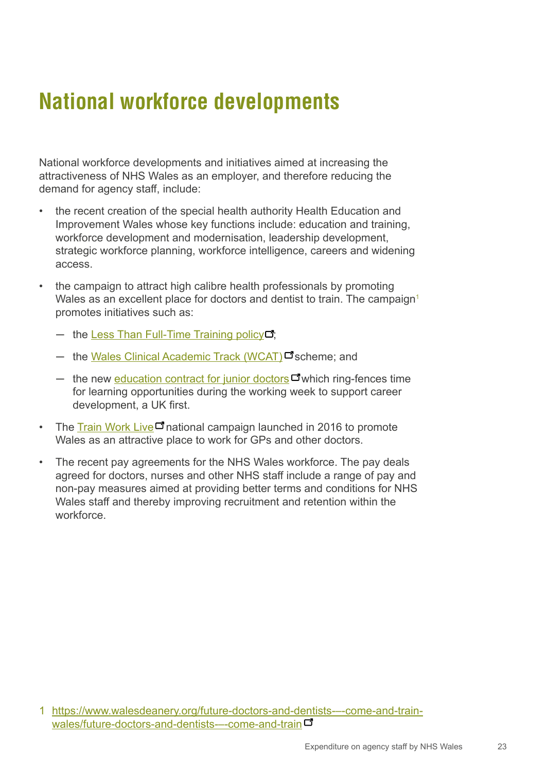### <span id="page-22-0"></span>**National workforce developments**

National workforce developments and initiatives aimed at increasing the attractiveness of NHS Wales as an employer, and therefore reducing the demand for agency staff, include:

- the recent creation of the special health authority Health Education and Improvement Wales whose key functions include: education and training, workforce development and modernisation, leadership development, strategic workforce planning, workforce intelligence, careers and widening access.
- the campaign to attract high calibre health professionals by promoting Wales as an excellent place for doctors and dentist to train. The campaign<sup>1</sup> promotes initiatives such as:
	- $-$  the [Less Than Full-Time Training policy](https://www.walesdeanery.org/less-than-full-time-training)  $\Box$ ;
	- ─ the [Wales Clinical Academic Track \(WCAT\)](https://www.walesdeanery.org/specialty-training/academic-medicine/wcat)□ scheme; and
	- $-$  the new [education contract for junior doctors](https://www.walesdeanery.org/wales-deanery-education-contract)  $\Box$  which ring-fences time for learning opportunities during the working week to support career development, a UK first.
- The [Train Work Live](https://trainworklive.wales/)  $\Box$  national campaign launched in 2016 to promote Wales as an attractive place to work for GPs and other doctors.
- The recent pay agreements for the NHS Wales workforce. The pay deals agreed for doctors, nurses and other NHS staff include a range of pay and non-pay measures aimed at providing better terms and conditions for NHS Wales staff and thereby improving recruitment and retention within the workforce.

<sup>1</sup> [h](https://www.walesdeanery.org/future-doctors-and-dentists-%E2%80%93-come-and-train-wales/future-doctors-and-dentists-%E2%80%93-come-and-train)[ttps://www.walesdeanery.org/future-doctors-and-dentists-–-come-and-train](https://www.walesdeanery.org/future-doctors-and-dentists---come-and-train-wales/future-doctors-and-d)[wales/future-doctors-and-dentists-–-come-and-train](https://www.walesdeanery.org/future-doctors-and-dentists---come-and-train-wales/future-doctors-and-d)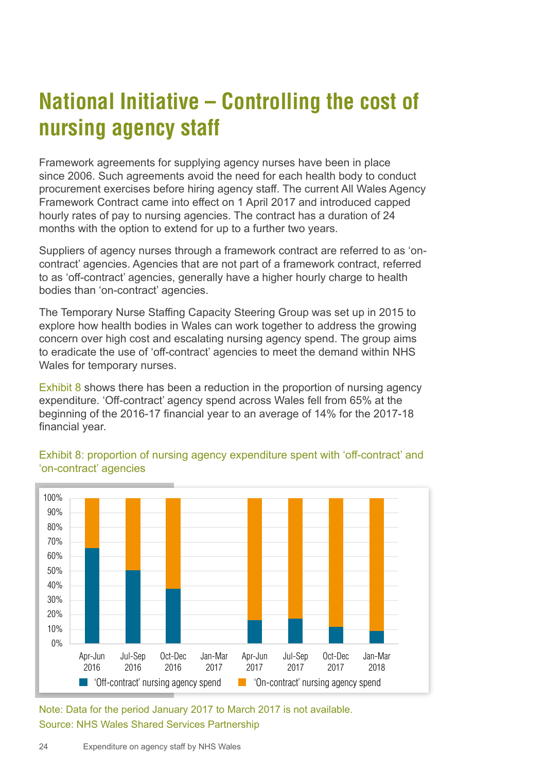## <span id="page-23-0"></span>**National Initiative – Controlling the cost of nursing agency staff**

Framework agreements for supplying agency nurses have been in place since 2006. Such agreements avoid the need for each health body to conduct procurement exercises before hiring agency staff. The current All Wales Agency Framework Contract came into effect on 1 April 2017 and introduced capped hourly rates of pay to nursing agencies. The contract has a duration of 24 months with the option to extend for up to a further two years.

Suppliers of agency nurses through a framework contract are referred to as 'oncontract' agencies. Agencies that are not part of a framework contract, referred to as 'off-contract' agencies, generally have a higher hourly charge to health bodies than 'on-contract' agencies.

The Temporary Nurse Staffing Capacity Steering Group was set up in 2015 to explore how health bodies in Wales can work together to address the growing concern over high cost and escalating nursing agency spend. The group aims to eradicate the use of 'off-contract' agencies to meet the demand within NHS Wales for temporary nurses.

Exhibit 8 shows there has been a reduction in the proportion of nursing agency expenditure. 'Off-contract' agency spend across Wales fell from 65% at the beginning of the 2016-17 financial year to an average of 14% for the 2017-18 financial year.



#### Exhibit 8: proportion of nursing agency expenditure spent with 'off-contract' and 'on-contract' agencies

Note: Data for the period January 2017 to March 2017 is not available. Source: NHS Wales Shared Services Partnership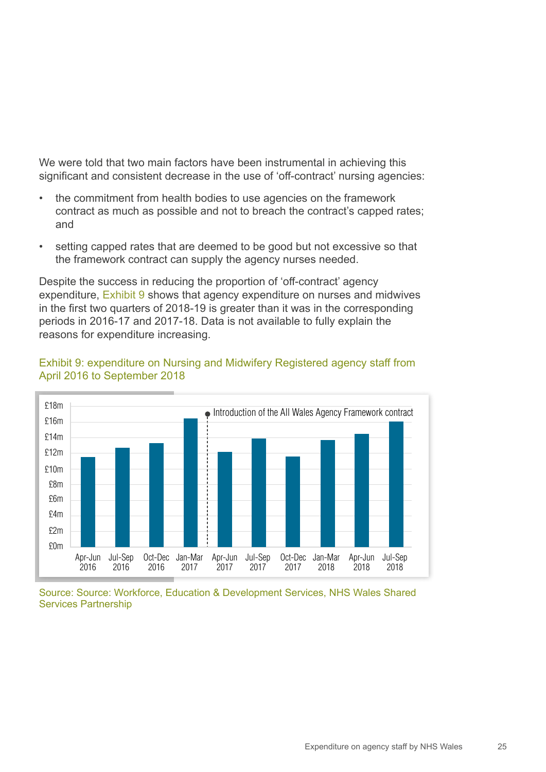We were told that two main factors have been instrumental in achieving this significant and consistent decrease in the use of 'off-contract' nursing agencies:

- the commitment from health bodies to use agencies on the framework contract as much as possible and not to breach the contract's capped rates; and
- setting capped rates that are deemed to be good but not excessive so that the framework contract can supply the agency nurses needed.

Despite the success in reducing the proportion of 'off-contract' agency expenditure, Exhibit 9 shows that agency expenditure on nurses and midwives in the first two quarters of 2018-19 is greater than it was in the corresponding periods in 2016-17 and 2017-18. Data is not available to fully explain the reasons for expenditure increasing.



#### Exhibit 9: expenditure on Nursing and Midwifery Registered agency staff from April 2016 to September 2018

Source: Source: Workforce, Education & Development Services, NHS Wales Shared Services Partnership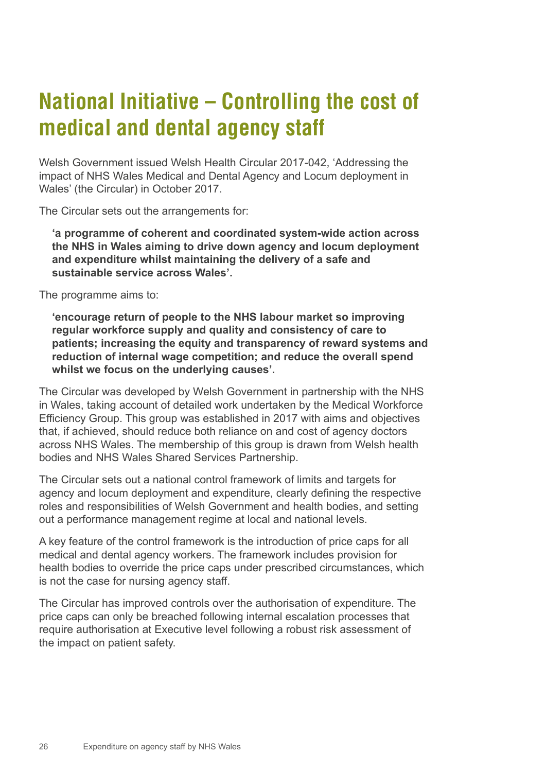### <span id="page-25-0"></span>**National Initiative – Controlling the cost of medical and dental agency staff**

Welsh Government issued Welsh Health Circular 2017-042, 'Addressing the impact of NHS Wales Medical and Dental Agency and Locum deployment in Wales' (the Circular) in October 2017.

The Circular sets out the arrangements for:

**'a programme of coherent and coordinated system-wide action across the NHS in Wales aiming to drive down agency and locum deployment and expenditure whilst maintaining the delivery of a safe and sustainable service across Wales'.**

The programme aims to:

**'encourage return of people to the NHS labour market so improving regular workforce supply and quality and consistency of care to patients; increasing the equity and transparency of reward systems and reduction of internal wage competition; and reduce the overall spend whilst we focus on the underlying causes'.**

The Circular was developed by Welsh Government in partnership with the NHS in Wales, taking account of detailed work undertaken by the Medical Workforce Efficiency Group. This group was established in 2017 with aims and objectives that, if achieved, should reduce both reliance on and cost of agency doctors across NHS Wales. The membership of this group is drawn from Welsh health bodies and NHS Wales Shared Services Partnership.

The Circular sets out a national control framework of limits and targets for agency and locum deployment and expenditure, clearly defining the respective roles and responsibilities of Welsh Government and health bodies, and setting out a performance management regime at local and national levels.

A key feature of the control framework is the introduction of price caps for all medical and dental agency workers. The framework includes provision for health bodies to override the price caps under prescribed circumstances, which is not the case for nursing agency staff.

The Circular has improved controls over the authorisation of expenditure. The price caps can only be breached following internal escalation processes that require authorisation at Executive level following a robust risk assessment of the impact on patient safety.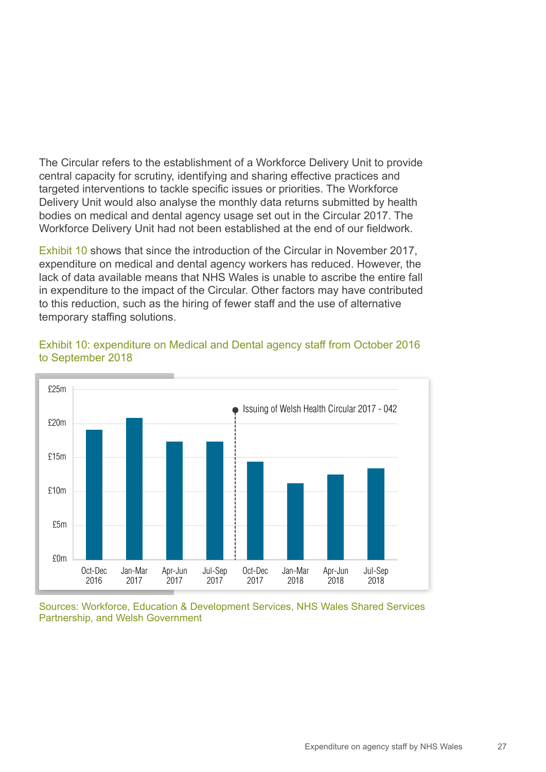The Circular refers to the establishment of a Workforce Delivery Unit to provide central capacity for scrutiny, identifying and sharing effective practices and targeted interventions to tackle specific issues or priorities. The Workforce Delivery Unit would also analyse the monthly data returns submitted by health bodies on medical and dental agency usage set out in the Circular 2017. The Workforce Delivery Unit had not been established at the end of our fieldwork.

Exhibit 10 shows that since the introduction of the Circular in November 2017, expenditure on medical and dental agency workers has reduced. However, the lack of data available means that NHS Wales is unable to ascribe the entire fall in expenditure to the impact of the Circular. Other factors may have contributed to this reduction, such as the hiring of fewer staff and the use of alternative temporary staffing solutions.



Exhibit 10: expenditure on Medical and Dental agency staff from October 2016 to September 2018

Sources: Workforce, Education & Development Services, NHS Wales Shared Services Partnership, and Welsh Government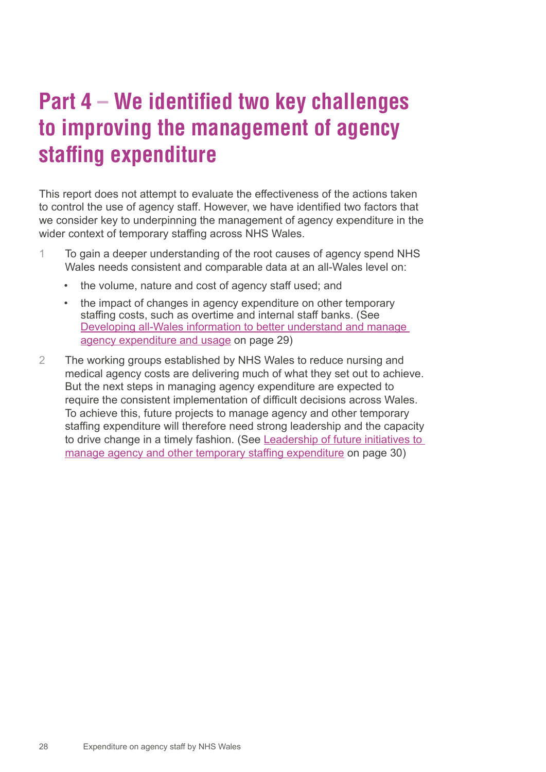### <span id="page-27-0"></span>**Part 4 – We identified two key challenges to improving the management of agency staffing expenditure**

This report does not attempt to evaluate the effectiveness of the actions taken to control the use of agency staff. However, we have identified two factors that we consider key to underpinning the management of agency expenditure in the wider context of temporary staffing across NHS Wales.

- 1 To gain a deeper understanding of the root causes of agency spend NHS Wales needs consistent and comparable data at an all-Wales level on:
	- the volume, nature and cost of agency staff used; and
	- the impact of changes in agency expenditure on other temporary staffing costs, such as overtime and internal staff banks. (See [Developing all-Wales information to better understand and manage](#page-28-0)  [agency expenditure and usage](#page-28-0) on page 29)
- 2 The working groups established by NHS Wales to reduce nursing and medical agency costs are delivering much of what they set out to achieve. But the next steps in managing agency expenditure are expected to require the consistent implementation of difficult decisions across Wales. To achieve this, future projects to manage agency and other temporary staffing expenditure will therefore need strong leadership and the capacity to drive change in a timely fashion. (See [Leadership of future initiatives to](#page-29-0)  [manage agency and other temporary staffing expenditure](#page-29-0) on page 30)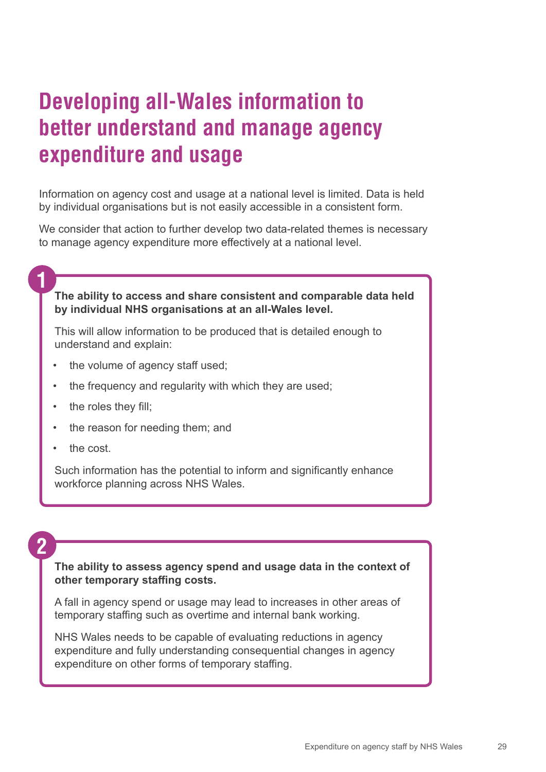### <span id="page-28-0"></span>**Developing all-Wales information to better understand and manage agency expenditure and usage**

Information on agency cost and usage at a national level is limited. Data is held by individual organisations but is not easily accessible in a consistent form.

We consider that action to further develop two data-related themes is necessary to manage agency expenditure more effectively at a national level.

#### **The ability to access and share consistent and comparable data held by individual NHS organisations at an all-Wales level.**

This will allow information to be produced that is detailed enough to understand and explain:

- the volume of agency staff used;
- the frequency and regularity with which they are used;
- the roles they fill;
- the reason for needing them; and
- the cost.

Such information has the potential to inform and significantly enhance workforce planning across NHS Wales.

#### **2**

**1**

#### **The ability to assess agency spend and usage data in the context of other temporary staffing costs.**

A fall in agency spend or usage may lead to increases in other areas of temporary staffing such as overtime and internal bank working.

NHS Wales needs to be capable of evaluating reductions in agency expenditure and fully understanding consequential changes in agency expenditure on other forms of temporary staffing.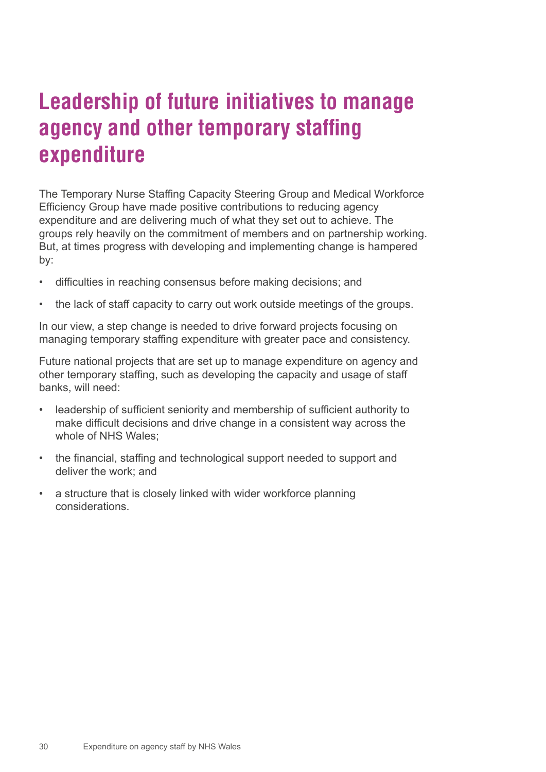### <span id="page-29-0"></span>**Leadership of future initiatives to manage agency and other temporary staffing expenditure**

The Temporary Nurse Staffing Capacity Steering Group and Medical Workforce Efficiency Group have made positive contributions to reducing agency expenditure and are delivering much of what they set out to achieve. The groups rely heavily on the commitment of members and on partnership working. But, at times progress with developing and implementing change is hampered by:

- difficulties in reaching consensus before making decisions; and
- the lack of staff capacity to carry out work outside meetings of the groups.

In our view, a step change is needed to drive forward projects focusing on managing temporary staffing expenditure with greater pace and consistency.

Future national projects that are set up to manage expenditure on agency and other temporary staffing, such as developing the capacity and usage of staff banks, will need:

- leadership of sufficient seniority and membership of sufficient authority to make difficult decisions and drive change in a consistent way across the whole of NHS Wales;
- the financial, staffing and technological support needed to support and deliver the work; and
- a structure that is closely linked with wider workforce planning considerations.